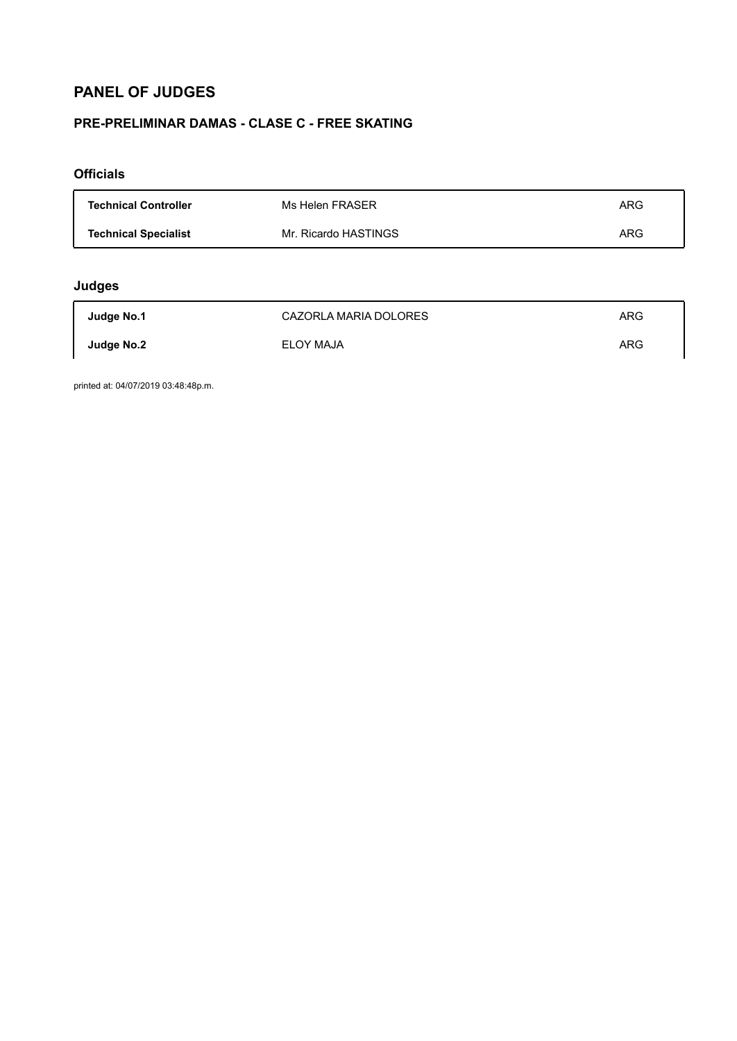# **PANEL OF JUDGES**

## **PRE-PRELIMINAR DAMAS - CLASE C - FREE SKATING**

### **Officials**

| <b>Technical Controller</b> | Ms Helen FRASER      | ARG |
|-----------------------------|----------------------|-----|
| <b>Technical Specialist</b> | Mr. Ricardo HASTINGS | ARG |

## **Judges**

| Judge No.1 | CAZORLA MARIA DOLORES | ARG |
|------------|-----------------------|-----|
| Judge No.2 | <b>ELOY MAJA</b>      | ARG |

printed at: 04/07/2019 03:48:48p.m.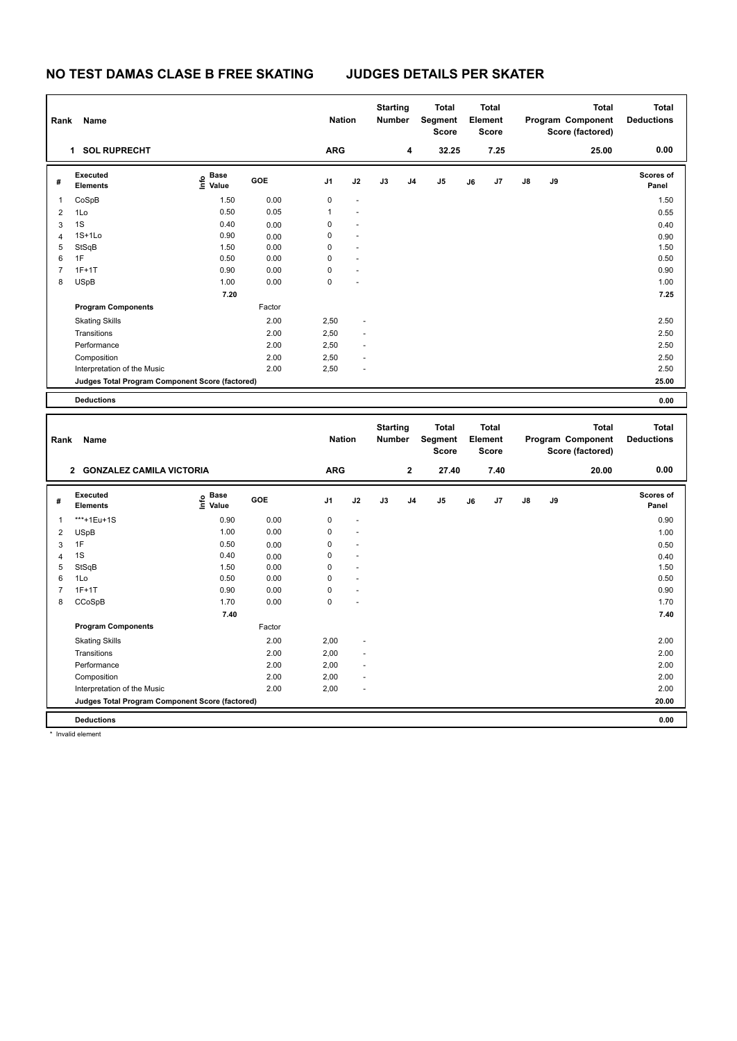## **NO TEST DAMAS CLASE B FREE SKATING JUDGES DETAILS PER SKATER**

| Rank                    | Name                                            |                                         |              | <b>Nation</b>              |    | <b>Starting</b><br>Number |                | <b>Total</b><br>Segment<br><b>Score</b> |    | <b>Total</b><br>Element<br><b>Score</b> |    |    | <b>Total</b><br>Program Component<br>Score (factored) | <b>Total</b><br><b>Deductions</b> |
|-------------------------|-------------------------------------------------|-----------------------------------------|--------------|----------------------------|----|---------------------------|----------------|-----------------------------------------|----|-----------------------------------------|----|----|-------------------------------------------------------|-----------------------------------|
|                         | 1 SOL RUPRECHT                                  |                                         |              | <b>ARG</b>                 |    |                           | 4              | 32.25                                   |    | 7.25                                    |    |    | 25.00                                                 | 0.00                              |
| #                       | Executed<br><b>Elements</b>                     | $\mathbf{e}$ Base<br>$\mathbf{E}$ Value | GOE          | J1                         | J2 | J3                        | J <sub>4</sub> | J <sub>5</sub>                          | J6 | J7                                      | J8 | J9 |                                                       | Scores of<br>Panel                |
| 1                       | CoSpB                                           | 1.50                                    | 0.00         | $\mathbf 0$                |    |                           |                |                                         |    |                                         |    |    |                                                       | 1.50                              |
| $\overline{2}$          | 1Lo                                             | 0.50                                    | 0.05         | $\overline{1}$             |    |                           |                |                                         |    |                                         |    |    |                                                       | 0.55                              |
| 3                       | 1S                                              | 0.40                                    | 0.00         | $\mathsf 0$                |    |                           |                |                                         |    |                                         |    |    |                                                       | 0.40                              |
| $\overline{4}$          | $1S+1Lo$                                        | 0.90                                    | 0.00         | $\mathsf 0$                |    |                           |                |                                         |    |                                         |    |    |                                                       | 0.90                              |
| 5                       | StSqB                                           | 1.50                                    | 0.00         | $\mathbf 0$                |    |                           |                |                                         |    |                                         |    |    |                                                       | 1.50                              |
| 6                       | 1F                                              | 0.50                                    | 0.00         | $\Omega$                   |    |                           |                |                                         |    |                                         |    |    |                                                       | 0.50                              |
| $\overline{7}$          | $1F+1T$                                         | 0.90                                    | 0.00         | $\mathbf 0$                |    |                           |                |                                         |    |                                         |    |    |                                                       | 0.90                              |
| 8                       | <b>USpB</b>                                     | 1.00                                    | 0.00         | $\mathbf 0$                |    |                           |                |                                         |    |                                         |    |    |                                                       | 1.00                              |
|                         |                                                 | 7.20                                    |              |                            |    |                           |                |                                         |    |                                         |    |    |                                                       | 7.25                              |
|                         | <b>Program Components</b>                       |                                         | Factor       |                            |    |                           |                |                                         |    |                                         |    |    |                                                       |                                   |
|                         | <b>Skating Skills</b>                           |                                         | 2.00         | 2,50                       |    |                           |                |                                         |    |                                         |    |    |                                                       | 2.50                              |
|                         | Transitions                                     |                                         | 2.00         | 2,50                       |    |                           |                |                                         |    |                                         |    |    |                                                       | 2.50                              |
|                         | Performance                                     |                                         | 2.00         | 2,50                       |    |                           |                |                                         |    |                                         |    |    |                                                       | 2.50                              |
|                         | Composition                                     |                                         | 2.00         | 2,50                       |    |                           |                |                                         |    |                                         |    |    |                                                       | 2.50                              |
|                         | Interpretation of the Music                     |                                         | 2.00         | 2,50                       |    |                           |                |                                         |    |                                         |    |    |                                                       | 2.50                              |
|                         | Judges Total Program Component Score (factored) |                                         |              |                            |    |                           |                |                                         |    |                                         |    |    |                                                       | 25.00                             |
|                         | <b>Deductions</b>                               |                                         |              |                            |    |                           |                |                                         |    |                                         |    |    |                                                       | 0.00                              |
|                         |                                                 |                                         |              |                            |    |                           |                |                                         |    |                                         |    |    |                                                       |                                   |
|                         |                                                 |                                         |              |                            |    |                           |                |                                         |    |                                         |    |    |                                                       |                                   |
| Rank                    | Name                                            |                                         |              | <b>Nation</b>              |    | <b>Starting</b><br>Number |                | <b>Total</b><br>Segment<br>Score        |    | <b>Total</b><br>Element<br><b>Score</b> |    |    | <b>Total</b><br>Program Component<br>Score (factored) | <b>Total</b><br><b>Deductions</b> |
|                         | 2 GONZALEZ CAMILA VICTORIA                      |                                         |              | <b>ARG</b>                 |    |                           | $\mathbf{2}$   | 27.40                                   |    | 7.40                                    |    |    | 20.00                                                 | 0.00                              |
| #                       | Executed<br>Elements                            |                                         | GOE          | J <sub>1</sub>             | J2 | J3                        | J4             | J5                                      | J6 | J <sub>7</sub>                          | J8 | J9 |                                                       | <b>Scores of</b><br>Panel         |
|                         |                                                 | $rac{e}{2}$ Base<br>$rac{e}{2}$ Value   |              |                            |    |                           |                |                                         |    |                                         |    |    |                                                       |                                   |
| $\mathbf{1}$            | ***+1Eu+1S                                      | 0.90                                    | 0.00         | 0                          |    |                           |                |                                         |    |                                         |    |    |                                                       | 0.90                              |
| $\overline{\mathbf{c}}$ | <b>USpB</b>                                     | 1.00                                    | 0.00         | $\mathbf 0$                |    |                           |                |                                         |    |                                         |    |    |                                                       | 1.00                              |
| 3                       | 1F                                              | 0.50                                    | 0.00         | $\mathbf 0$                |    |                           |                |                                         |    |                                         |    |    |                                                       | 0.50                              |
| $\overline{4}$          | 1S                                              | 0.40                                    | 0.00         | $\mathsf 0$                |    |                           |                |                                         |    |                                         |    |    |                                                       | 0.40                              |
| 5<br>6                  | StSqB<br>1Lo                                    | 1.50<br>0.50                            | 0.00<br>0.00 | $\mathsf 0$<br>$\mathbf 0$ |    |                           |                |                                         |    |                                         |    |    |                                                       | 1.50<br>0.50                      |
| $\overline{7}$          | $1F+1T$                                         | 0.90                                    | 0.00         | $\mathbf 0$                |    |                           |                |                                         |    |                                         |    |    |                                                       | 0.90                              |
| 8                       | CCoSpB                                          | 1.70                                    | 0.00         | $\mathbf 0$                |    |                           |                |                                         |    |                                         |    |    |                                                       | 1.70                              |
|                         |                                                 | 7.40                                    |              |                            |    |                           |                |                                         |    |                                         |    |    |                                                       | 7.40                              |
|                         | <b>Program Components</b>                       |                                         | Factor       |                            |    |                           |                |                                         |    |                                         |    |    |                                                       |                                   |
|                         |                                                 |                                         |              |                            |    |                           |                |                                         |    |                                         |    |    |                                                       |                                   |
|                         | <b>Skating Skills</b><br>Transitions            |                                         | 2.00<br>2.00 | 2,00                       |    |                           |                |                                         |    |                                         |    |    |                                                       | 2.00<br>2.00                      |
|                         | Performance                                     |                                         | 2.00         | 2,00<br>2,00               |    |                           |                |                                         |    |                                         |    |    |                                                       | 2.00                              |
|                         | Composition                                     |                                         | 2.00         | 2,00                       | L, |                           |                |                                         |    |                                         |    |    |                                                       | 2.00                              |
|                         | Interpretation of the Music                     |                                         | 2.00         | 2,00                       | ÷, |                           |                |                                         |    |                                         |    |    |                                                       | 2.00                              |

**Deductions 0.00**

\* Invalid element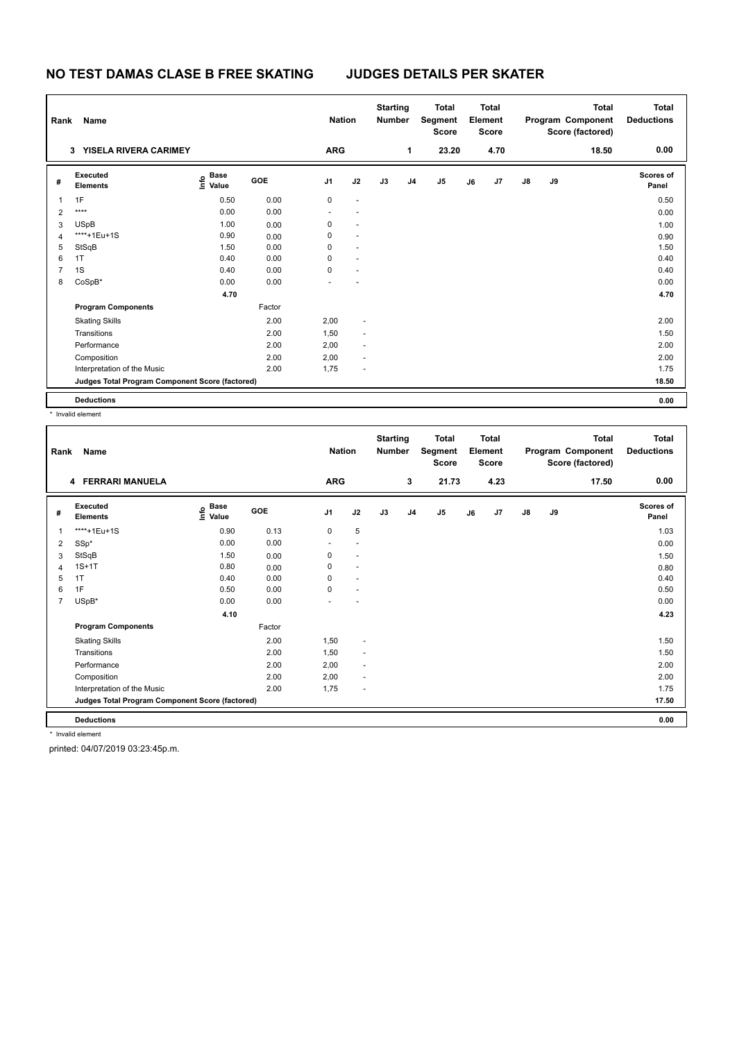# **NO TEST DAMAS CLASE B FREE SKATING JUDGES DETAILS PER SKATER**

| Rank | Name                                            |                                  |            | <b>Nation</b>  |                      | <b>Starting</b><br><b>Number</b> |              | <b>Total</b><br>Segment<br><b>Score</b> |    | <b>Total</b><br>Element<br><b>Score</b> |               |    | <b>Total</b><br>Program Component<br>Score (factored) | <b>Total</b><br><b>Deductions</b> |
|------|-------------------------------------------------|----------------------------------|------------|----------------|----------------------|----------------------------------|--------------|-----------------------------------------|----|-----------------------------------------|---------------|----|-------------------------------------------------------|-----------------------------------|
|      | YISELA RIVERA CARIMEY<br>3                      |                                  |            | <b>ARG</b>     |                      |                                  | $\mathbf{1}$ | 23.20                                   |    | 4.70                                    |               |    | 18.50                                                 | 0.00                              |
| #    | Executed<br><b>Elements</b>                     | <b>Base</b><br>e Base<br>E Value | <b>GOE</b> | J <sub>1</sub> | J2                   | J3                               | J4           | J5                                      | J6 | J <sub>7</sub>                          | $\mathsf{J}8$ | J9 |                                                       | Scores of<br>Panel                |
| 1    | 1F                                              | 0.50                             | 0.00       | 0              | $\sim$               |                                  |              |                                         |    |                                         |               |    |                                                       | 0.50                              |
| 2    | ****                                            | 0.00                             | 0.00       |                |                      |                                  |              |                                         |    |                                         |               |    |                                                       | 0.00                              |
| 3    | <b>USpB</b>                                     | 1.00                             | 0.00       | 0              |                      |                                  |              |                                         |    |                                         |               |    |                                                       | 1.00                              |
| 4    | ****+1Eu+1S                                     | 0.90                             | 0.00       | 0              |                      |                                  |              |                                         |    |                                         |               |    |                                                       | 0.90                              |
| 5    | StSqB                                           | 1.50                             | 0.00       | 0              | $\ddot{\phantom{1}}$ |                                  |              |                                         |    |                                         |               |    |                                                       | 1.50                              |
| 6    | 1T                                              | 0.40                             | 0.00       | 0              | $\sim$               |                                  |              |                                         |    |                                         |               |    |                                                       | 0.40                              |
| 7    | 1S                                              | 0.40                             | 0.00       | 0              |                      |                                  |              |                                         |    |                                         |               |    |                                                       | 0.40                              |
| 8    | CoSpB*                                          | 0.00                             | 0.00       |                |                      |                                  |              |                                         |    |                                         |               |    |                                                       | 0.00                              |
|      |                                                 | 4.70                             |            |                |                      |                                  |              |                                         |    |                                         |               |    |                                                       | 4.70                              |
|      | <b>Program Components</b>                       |                                  | Factor     |                |                      |                                  |              |                                         |    |                                         |               |    |                                                       |                                   |
|      | <b>Skating Skills</b>                           |                                  | 2.00       | 2,00           | $\sim$               |                                  |              |                                         |    |                                         |               |    |                                                       | 2.00                              |
|      | Transitions                                     |                                  | 2.00       | 1,50           | $\sim$               |                                  |              |                                         |    |                                         |               |    |                                                       | 1.50                              |
|      | Performance                                     |                                  | 2.00       | 2,00           | $\sim$               |                                  |              |                                         |    |                                         |               |    |                                                       | 2.00                              |
|      | Composition                                     |                                  | 2.00       | 2,00           | ÷.                   |                                  |              |                                         |    |                                         |               |    |                                                       | 2.00                              |
|      | Interpretation of the Music                     |                                  | 2.00       | 1,75           | ٠                    |                                  |              |                                         |    |                                         |               |    |                                                       | 1.75                              |
|      | Judges Total Program Component Score (factored) |                                  |            |                |                      |                                  |              |                                         |    |                                         |               |    |                                                       | 18.50                             |
|      | <b>Deductions</b>                               |                                  |            |                |                      |                                  |              |                                         |    |                                         |               |    |                                                       | 0.00                              |

\* Invalid element

| Rank           | Name                                            |                                           |        | <b>Nation</b>  |                          | <b>Starting</b><br><b>Number</b> |                | <b>Total</b><br>Segment<br><b>Score</b> |    | <b>Total</b><br>Element<br><b>Score</b> |               |    | <b>Total</b><br>Program Component<br>Score (factored) | Total<br><b>Deductions</b> |
|----------------|-------------------------------------------------|-------------------------------------------|--------|----------------|--------------------------|----------------------------------|----------------|-----------------------------------------|----|-----------------------------------------|---------------|----|-------------------------------------------------------|----------------------------|
|                | 4 FERRARI MANUELA                               |                                           |        | <b>ARG</b>     |                          |                                  | 3              | 21.73                                   |    | 4.23                                    |               |    | 17.50                                                 | 0.00                       |
| #              | Executed<br><b>Elements</b>                     | $\frac{e}{E}$ Base<br>$\frac{E}{E}$ Value | GOE    | J <sub>1</sub> | J2                       | J3                               | J <sub>4</sub> | J5                                      | J6 | J7                                      | $\mathsf{J}8$ | J9 |                                                       | <b>Scores of</b><br>Panel  |
|                | ****+1Eu+1S                                     | 0.90                                      | 0.13   | $\mathbf 0$    | 5                        |                                  |                |                                         |    |                                         |               |    |                                                       | 1.03                       |
| 2              | SSp*                                            | 0.00                                      | 0.00   | ٠              | $\sim$                   |                                  |                |                                         |    |                                         |               |    |                                                       | 0.00                       |
| 3              | StSqB                                           | 1.50                                      | 0.00   | 0              | $\sim$                   |                                  |                |                                         |    |                                         |               |    |                                                       | 1.50                       |
| 4              | $1S+1T$                                         | 0.80                                      | 0.00   | 0              | $\ddot{\phantom{1}}$     |                                  |                |                                         |    |                                         |               |    |                                                       | 0.80                       |
| 5              | 1T                                              | 0.40                                      | 0.00   | 0              | $\ddot{\phantom{1}}$     |                                  |                |                                         |    |                                         |               |    |                                                       | 0.40                       |
| 6              | 1F                                              | 0.50                                      | 0.00   | $\mathbf 0$    | $\ddot{\phantom{1}}$     |                                  |                |                                         |    |                                         |               |    |                                                       | 0.50                       |
| $\overline{7}$ | USpB*                                           | 0.00                                      | 0.00   |                |                          |                                  |                |                                         |    |                                         |               |    |                                                       | 0.00                       |
|                |                                                 | 4.10                                      |        |                |                          |                                  |                |                                         |    |                                         |               |    |                                                       | 4.23                       |
|                | <b>Program Components</b>                       |                                           | Factor |                |                          |                                  |                |                                         |    |                                         |               |    |                                                       |                            |
|                | <b>Skating Skills</b>                           |                                           | 2.00   | 1,50           | ٠                        |                                  |                |                                         |    |                                         |               |    |                                                       | 1.50                       |
|                | Transitions                                     |                                           | 2.00   | 1,50           | $\sim$                   |                                  |                |                                         |    |                                         |               |    |                                                       | 1.50                       |
|                | Performance                                     |                                           | 2.00   | 2,00           | $\overline{\phantom{a}}$ |                                  |                |                                         |    |                                         |               |    |                                                       | 2.00                       |
|                | Composition                                     |                                           | 2.00   | 2,00           | $\sim$                   |                                  |                |                                         |    |                                         |               |    |                                                       | 2.00                       |
|                | Interpretation of the Music                     |                                           | 2.00   | 1,75           | ٠                        |                                  |                |                                         |    |                                         |               |    |                                                       | 1.75                       |
|                | Judges Total Program Component Score (factored) |                                           |        |                |                          |                                  |                |                                         |    |                                         |               |    |                                                       | 17.50                      |
|                | <b>Deductions</b>                               |                                           |        |                |                          |                                  |                |                                         |    |                                         |               |    |                                                       | 0.00                       |
|                | * Invalid element                               |                                           |        |                |                          |                                  |                |                                         |    |                                         |               |    |                                                       |                            |

printed: 04/07/2019 03:23:45p.m.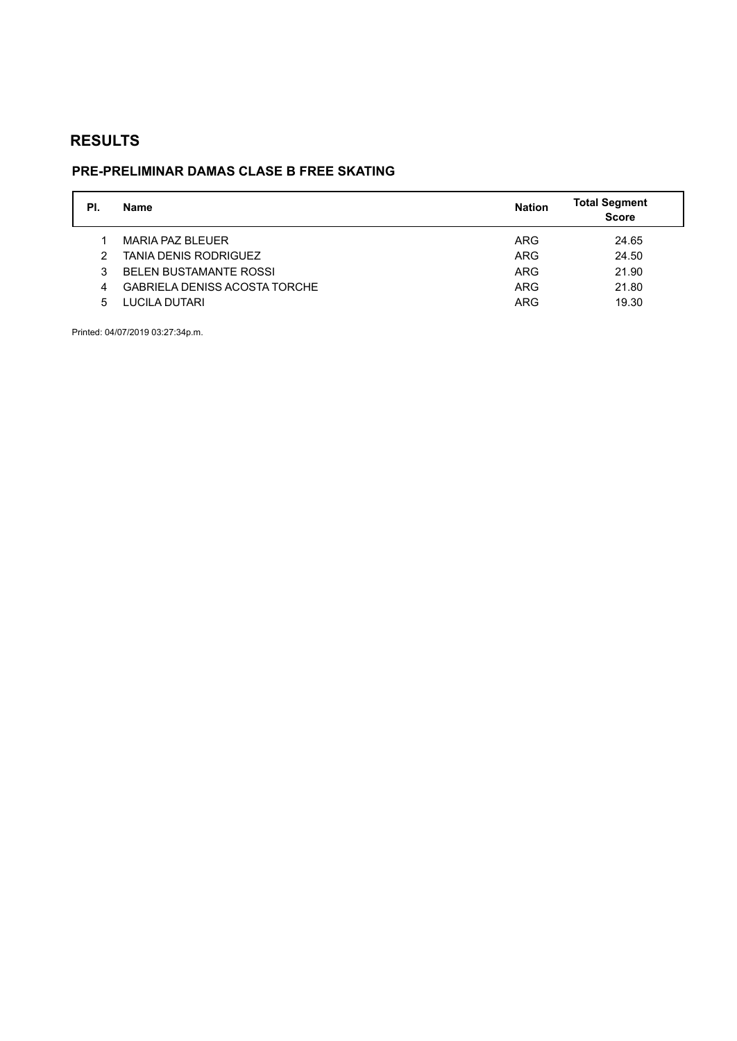# **PRE-PRELIMINAR DAMAS CLASE B FREE SKATING**

| PI. | <b>Name</b>                          | <b>Nation</b> | <b>Total Segment</b><br><b>Score</b> |
|-----|--------------------------------------|---------------|--------------------------------------|
|     | MARIA PAZ BLEUER                     | ARG           | 24.65                                |
| 2   | <b>TANIA DENIS RODRIGUEZ</b>         | <b>ARG</b>    | 24.50                                |
| 3   | <b>BELEN BUSTAMANTE ROSSI</b>        | <b>ARG</b>    | 21.90                                |
| 4   | <b>GABRIELA DENISS ACOSTA TORCHE</b> | <b>ARG</b>    | 21.80                                |
| 5   | LUCILA DUTARI                        | <b>ARG</b>    | 19.30                                |

Printed: 04/07/2019 03:27:34p.m.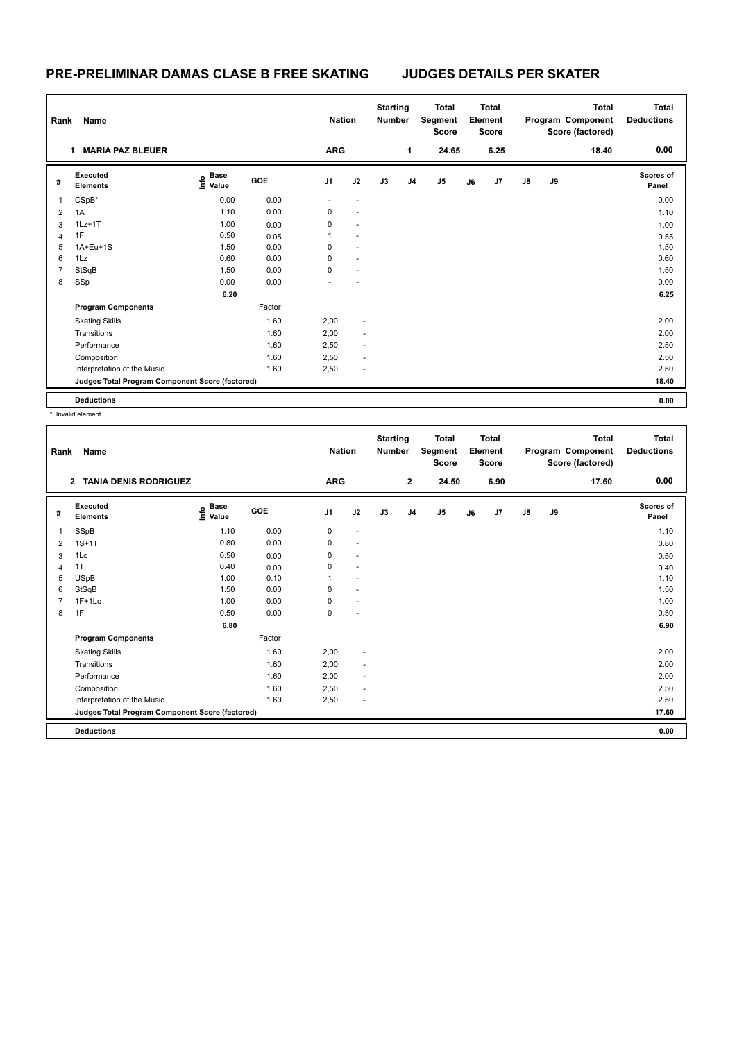### **PRE-PRELIMINAR DAMAS CLASE B FREE SKATING JUDGES DETAILS PER SKATER**

| Rank | Name                                            |                                  |        | <b>Nation</b> |                          | <b>Starting</b><br><b>Number</b> |    | <b>Total</b><br>Segment<br><b>Score</b> |    | <b>Total</b><br>Element<br><b>Score</b> |               |    | <b>Total</b><br>Program Component<br>Score (factored) | <b>Total</b><br><b>Deductions</b> |
|------|-------------------------------------------------|----------------------------------|--------|---------------|--------------------------|----------------------------------|----|-----------------------------------------|----|-----------------------------------------|---------------|----|-------------------------------------------------------|-----------------------------------|
|      | <b>MARIA PAZ BLEUER</b><br>1                    |                                  |        | <b>ARG</b>    |                          |                                  | 1  | 24.65                                   |    | 6.25                                    |               |    | 18.40                                                 | 0.00                              |
| #    | Executed<br><b>Elements</b>                     | <b>Base</b><br>e Base<br>E Value | GOE    | J1            | J2                       | J3                               | J4 | J <sub>5</sub>                          | J6 | J <sub>7</sub>                          | $\mathsf{J}8$ | J9 |                                                       | Scores of<br>Panel                |
| 1    | CSpB*                                           | 0.00                             | 0.00   |               | $\overline{\phantom{a}}$ |                                  |    |                                         |    |                                         |               |    |                                                       | 0.00                              |
| 2    | 1A                                              | 1.10                             | 0.00   | 0             | $\sim$                   |                                  |    |                                         |    |                                         |               |    |                                                       | 1.10                              |
| 3    | $1Lz+1T$                                        | 1.00                             | 0.00   | 0             | $\overline{\phantom{a}}$ |                                  |    |                                         |    |                                         |               |    |                                                       | 1.00                              |
| 4    | 1F                                              | 0.50                             | 0.05   | 1             |                          |                                  |    |                                         |    |                                         |               |    |                                                       | 0.55                              |
| 5    | 1A+Eu+1S                                        | 1.50                             | 0.00   | 0             | $\sim$                   |                                  |    |                                         |    |                                         |               |    |                                                       | 1.50                              |
| 6    | 1Lz                                             | 0.60                             | 0.00   | 0             | $\sim$                   |                                  |    |                                         |    |                                         |               |    |                                                       | 0.60                              |
| 7    | StSqB                                           | 1.50                             | 0.00   | 0             | $\overline{\phantom{a}}$ |                                  |    |                                         |    |                                         |               |    |                                                       | 1.50                              |
| 8    | SSp                                             | 0.00                             | 0.00   |               |                          |                                  |    |                                         |    |                                         |               |    |                                                       | 0.00                              |
|      |                                                 | 6.20                             |        |               |                          |                                  |    |                                         |    |                                         |               |    |                                                       | 6.25                              |
|      | <b>Program Components</b>                       |                                  | Factor |               |                          |                                  |    |                                         |    |                                         |               |    |                                                       |                                   |
|      | <b>Skating Skills</b>                           |                                  | 1.60   | 2,00          | $\sim$                   |                                  |    |                                         |    |                                         |               |    |                                                       | 2.00                              |
|      | Transitions                                     |                                  | 1.60   | 2,00          | $\sim$                   |                                  |    |                                         |    |                                         |               |    |                                                       | 2.00                              |
|      | Performance                                     |                                  | 1.60   | 2,50          | $\sim$                   |                                  |    |                                         |    |                                         |               |    |                                                       | 2.50                              |
|      | Composition                                     |                                  | 1.60   | 2,50          | $\sim$                   |                                  |    |                                         |    |                                         |               |    |                                                       | 2.50                              |
|      | Interpretation of the Music                     |                                  | 1.60   | 2,50          | ٠                        |                                  |    |                                         |    |                                         |               |    |                                                       | 2.50                              |
|      | Judges Total Program Component Score (factored) |                                  |        |               |                          |                                  |    |                                         |    |                                         |               |    |                                                       | 18.40                             |
|      | <b>Deductions</b>                               |                                  |        |               |                          |                                  |    |                                         |    |                                         |               |    |                                                       | 0.00                              |

\* Invalid element

| Rank | Name                                            |                                           |            | <b>Nation</b>  |                          | <b>Starting</b><br><b>Number</b> |                | <b>Total</b><br>Segment<br><b>Score</b> |    | <b>Total</b><br>Element<br><b>Score</b> |               |    | <b>Total</b><br>Program Component<br>Score (factored) | <b>Total</b><br><b>Deductions</b> |
|------|-------------------------------------------------|-------------------------------------------|------------|----------------|--------------------------|----------------------------------|----------------|-----------------------------------------|----|-----------------------------------------|---------------|----|-------------------------------------------------------|-----------------------------------|
|      | <b>TANIA DENIS RODRIGUEZ</b><br>$\overline{2}$  |                                           |            | <b>ARG</b>     |                          |                                  | $\overline{2}$ | 24.50                                   |    | 6.90                                    |               |    | 17.60                                                 | 0.00                              |
| #    | Executed<br><b>Elements</b>                     | $\frac{e}{E}$ Base<br>$\frac{E}{E}$ Value | <b>GOE</b> | J <sub>1</sub> | J2                       | J3                               | J <sub>4</sub> | J5                                      | J6 | J7                                      | $\mathsf{J}8$ | J9 |                                                       | Scores of<br>Panel                |
| 1    | SSpB                                            | 1.10                                      | 0.00       | 0              | $\sim$                   |                                  |                |                                         |    |                                         |               |    |                                                       | 1.10                              |
| 2    | $1S+1T$                                         | 0.80                                      | 0.00       | 0              | $\sim$                   |                                  |                |                                         |    |                                         |               |    |                                                       | 0.80                              |
| 3    | 1Lo                                             | 0.50                                      | 0.00       | 0              | $\overline{a}$           |                                  |                |                                         |    |                                         |               |    |                                                       | 0.50                              |
| 4    | 1T                                              | 0.40                                      | 0.00       | 0              | $\overline{a}$           |                                  |                |                                         |    |                                         |               |    |                                                       | 0.40                              |
| 5    | <b>USpB</b>                                     | 1.00                                      | 0.10       |                | $\overline{\phantom{a}}$ |                                  |                |                                         |    |                                         |               |    |                                                       | 1.10                              |
| 6    | StSqB                                           | 1.50                                      | 0.00       | 0              | $\blacksquare$           |                                  |                |                                         |    |                                         |               |    |                                                       | 1.50                              |
| 7    | $1F+1Lo$                                        | 1.00                                      | 0.00       | 0              | $\overline{\phantom{a}}$ |                                  |                |                                         |    |                                         |               |    |                                                       | 1.00                              |
| 8    | 1F                                              | 0.50                                      | 0.00       | 0              | $\overline{\phantom{a}}$ |                                  |                |                                         |    |                                         |               |    |                                                       | 0.50                              |
|      |                                                 | 6.80                                      |            |                |                          |                                  |                |                                         |    |                                         |               |    |                                                       | 6.90                              |
|      | <b>Program Components</b>                       |                                           | Factor     |                |                          |                                  |                |                                         |    |                                         |               |    |                                                       |                                   |
|      | <b>Skating Skills</b>                           |                                           | 1.60       | 2,00           |                          |                                  |                |                                         |    |                                         |               |    |                                                       | 2.00                              |
|      | Transitions                                     |                                           | 1.60       | 2,00           | $\overline{\phantom{a}}$ |                                  |                |                                         |    |                                         |               |    |                                                       | 2.00                              |
|      | Performance                                     |                                           | 1.60       | 2,00           | $\overline{\phantom{a}}$ |                                  |                |                                         |    |                                         |               |    |                                                       | 2.00                              |
|      | Composition                                     |                                           | 1.60       | 2,50           | ٠                        |                                  |                |                                         |    |                                         |               |    |                                                       | 2.50                              |
|      | Interpretation of the Music                     |                                           | 1.60       | 2,50           | $\sim$                   |                                  |                |                                         |    |                                         |               |    |                                                       | 2.50                              |
|      | Judges Total Program Component Score (factored) |                                           |            |                |                          |                                  |                |                                         |    |                                         |               |    |                                                       | 17.60                             |
|      | <b>Deductions</b>                               |                                           |            |                |                          |                                  |                |                                         |    |                                         |               |    |                                                       | 0.00                              |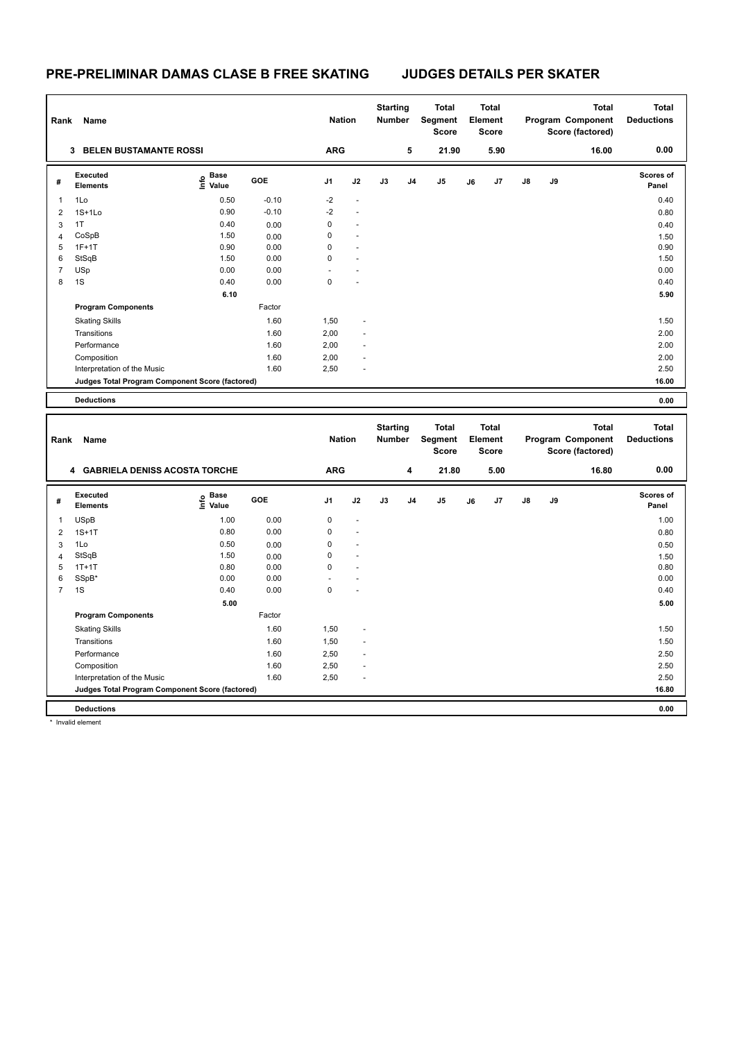## **PRE-PRELIMINAR DAMAS CLASE B FREE SKATING JUDGES DETAILS PER SKATER**

| Rank                    | Name                                            |                       |            | <b>Nation</b>  |                | <b>Starting</b><br>Number        |    | <b>Total</b><br>Segment<br><b>Score</b> |    | <b>Total</b><br>Element<br><b>Score</b> |    |    | <b>Total</b><br>Program Component<br>Score (factored) | <b>Total</b><br><b>Deductions</b> |
|-------------------------|-------------------------------------------------|-----------------------|------------|----------------|----------------|----------------------------------|----|-----------------------------------------|----|-----------------------------------------|----|----|-------------------------------------------------------|-----------------------------------|
|                         | 3 BELEN BUSTAMANTE ROSSI                        |                       |            | <b>ARG</b>     |                |                                  | 5  | 21.90                                   |    | 5.90                                    |    |    | 16.00                                                 | 0.00                              |
| #                       | <b>Executed</b><br><b>Elements</b>              | $E$ Base<br>$E$ Value | GOE        | J1             | J2             | J3                               | J4 | J5                                      | J6 | J7                                      | J8 | J9 |                                                       | <b>Scores of</b><br>Panel         |
| $\mathbf{1}$            | 1Lo                                             | 0.50                  | $-0.10$    | $-2$           | $\overline{a}$ |                                  |    |                                         |    |                                         |    |    |                                                       | 0.40                              |
| $\overline{2}$          | $1S+1L0$                                        | 0.90                  | $-0.10$    | $-2$           | ÷,             |                                  |    |                                         |    |                                         |    |    |                                                       | 0.80                              |
| 3                       | 1T                                              | 0.40                  | 0.00       | $\mathbf 0$    |                |                                  |    |                                         |    |                                         |    |    |                                                       | 0.40                              |
| $\overline{\mathbf{4}}$ | CoSpB                                           | 1.50                  | 0.00       | $\mathbf 0$    |                |                                  |    |                                         |    |                                         |    |    |                                                       | 1.50                              |
| 5                       | $1F+1T$                                         | 0.90                  | 0.00       | $\Omega$       |                |                                  |    |                                         |    |                                         |    |    |                                                       | 0.90                              |
| 6                       | StSqB                                           | 1.50                  | 0.00       | $\mathbf 0$    |                |                                  |    |                                         |    |                                         |    |    |                                                       | 1.50                              |
| $\overline{7}$          | USp                                             | 0.00                  | 0.00       |                |                |                                  |    |                                         |    |                                         |    |    |                                                       | 0.00                              |
| 8                       | 1S                                              | 0.40                  | 0.00       | $\mathbf 0$    |                |                                  |    |                                         |    |                                         |    |    |                                                       | 0.40                              |
|                         |                                                 | 6.10                  |            |                |                |                                  |    |                                         |    |                                         |    |    |                                                       | 5.90                              |
|                         | <b>Program Components</b>                       |                       | Factor     |                |                |                                  |    |                                         |    |                                         |    |    |                                                       |                                   |
|                         | <b>Skating Skills</b>                           |                       | 1.60       | 1,50           |                |                                  |    |                                         |    |                                         |    |    |                                                       | 1.50                              |
|                         | Transitions                                     |                       | 1.60       | 2,00           |                |                                  |    |                                         |    |                                         |    |    |                                                       | 2.00                              |
|                         | Performance                                     |                       | 1.60       | 2,00           |                |                                  |    |                                         |    |                                         |    |    |                                                       | 2.00                              |
|                         | Composition                                     |                       | 1.60       | 2,00           |                |                                  |    |                                         |    |                                         |    |    |                                                       | 2.00                              |
|                         | Interpretation of the Music                     |                       | 1.60       | 2,50           |                |                                  |    |                                         |    |                                         |    |    |                                                       | 2.50                              |
|                         | Judges Total Program Component Score (factored) |                       |            |                |                |                                  |    |                                         |    |                                         |    |    |                                                       | 16.00                             |
|                         | <b>Deductions</b>                               |                       |            |                |                |                                  |    |                                         |    |                                         |    |    |                                                       | 0.00                              |
|                         |                                                 |                       |            |                |                |                                  |    |                                         |    |                                         |    |    |                                                       |                                   |
|                         |                                                 |                       |            |                |                |                                  |    |                                         |    |                                         |    |    |                                                       |                                   |
| Rank                    | Name                                            |                       |            | <b>Nation</b>  |                | <b>Starting</b><br><b>Number</b> |    | <b>Total</b><br>Segment                 |    | <b>Total</b><br>Element                 |    |    | <b>Total</b><br>Program Component                     | <b>Total</b><br><b>Deductions</b> |
|                         | 4 GABRIELA DENISS ACOSTA TORCHE                 |                       |            | <b>ARG</b>     |                |                                  | 4  | <b>Score</b><br>21.80                   |    | <b>Score</b><br>5.00                    |    |    | Score (factored)<br>16.80                             | 0.00                              |
|                         |                                                 |                       |            |                |                |                                  |    |                                         |    |                                         |    |    |                                                       |                                   |
| #                       | Executed<br>Elements                            | e Base<br>⊆ Value     | <b>GOE</b> | J <sub>1</sub> | J2             | J3                               | J4 | J5                                      | J6 | J7                                      | J8 | J9 |                                                       | <b>Scores of</b><br>Panel         |
| $\mathbf{1}$            | <b>USpB</b>                                     | 1.00                  | 0.00       | 0              |                |                                  |    |                                         |    |                                         |    |    |                                                       | 1.00                              |
| $\overline{2}$          | $1S+1T$                                         | 0.80                  | 0.00       | $\mathbf 0$    |                |                                  |    |                                         |    |                                         |    |    |                                                       | 0.80                              |
| 3                       | 1Lo                                             | 0.50                  | 0.00       | $\mathbf 0$    |                |                                  |    |                                         |    |                                         |    |    |                                                       | 0.50                              |
| $\overline{4}$          | StSqB                                           | 1.50                  | 0.00       | 0              |                |                                  |    |                                         |    |                                         |    |    |                                                       | 1.50                              |
| 5                       | $1T+1T$                                         | 0.80                  | 0.00       | $\mathbf 0$    |                |                                  |    |                                         |    |                                         |    |    |                                                       | 0.80                              |
| 6                       | SSpB*                                           | 0.00                  | 0.00       |                |                |                                  |    |                                         |    |                                         |    |    |                                                       | 0.00                              |
| $\overline{7}$          | 1S                                              | 0.40                  | 0.00       | $\mathbf 0$    |                |                                  |    |                                         |    |                                         |    |    |                                                       | 0.40                              |
|                         |                                                 | 5.00                  |            |                |                |                                  |    |                                         |    |                                         |    |    |                                                       | 5.00                              |
|                         | <b>Program Components</b>                       |                       | Factor     |                |                |                                  |    |                                         |    |                                         |    |    |                                                       |                                   |
|                         | <b>Skating Skills</b>                           |                       | 1.60       | 1,50           |                |                                  |    |                                         |    |                                         |    |    |                                                       | 1.50                              |
|                         | Transitions                                     |                       | 1.60       | 1,50           |                |                                  |    |                                         |    |                                         |    |    |                                                       | 1.50                              |
|                         | Performance                                     |                       | 1.60       | 2,50           |                |                                  |    |                                         |    |                                         |    |    |                                                       | 2.50                              |
|                         | Composition                                     |                       | 1.60       | 2,50           |                |                                  |    |                                         |    |                                         |    |    |                                                       | 2.50                              |
|                         | Interpretation of the Music                     |                       | 1.60       | 2,50           |                |                                  |    |                                         |    |                                         |    |    |                                                       | 2.50                              |
|                         | Judges Total Program Component Score (factored) |                       |            |                |                |                                  |    |                                         |    |                                         |    |    |                                                       | 16.80                             |

\* Invalid element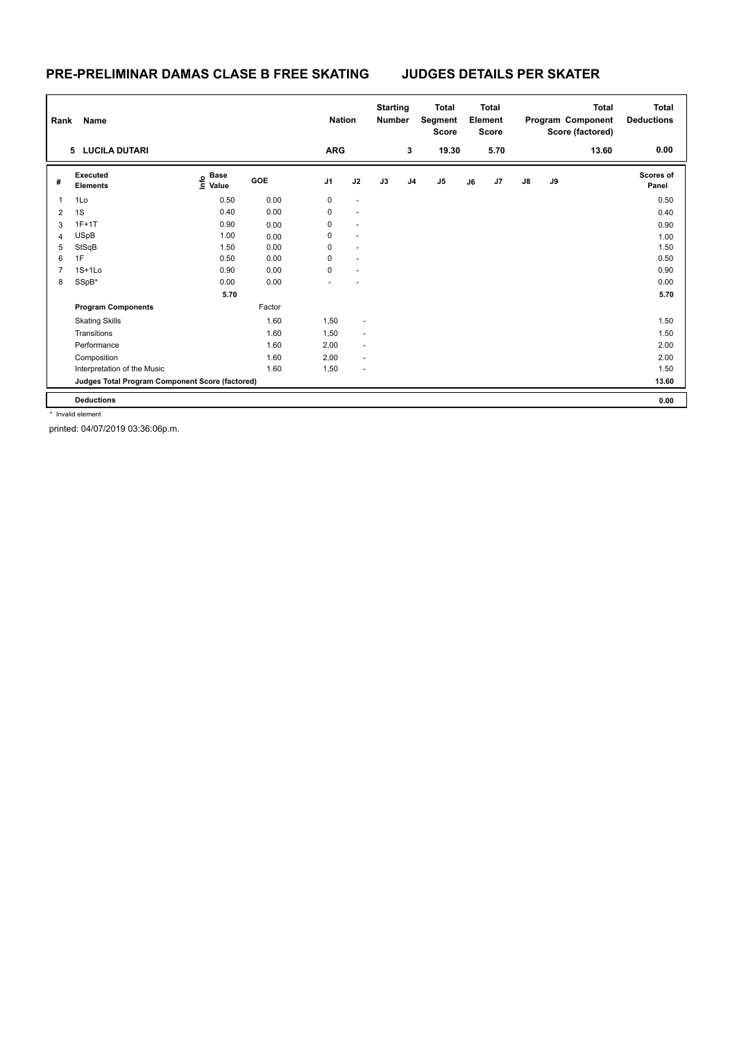### **PRE-PRELIMINAR DAMAS CLASE B FREE SKATING JUDGES DETAILS PER SKATER**

| Rank | Name                                            |                                  |        | <b>Nation</b>  |                          | <b>Starting</b><br><b>Number</b> |                | <b>Total</b><br>Segment<br><b>Score</b> |    | <b>Total</b><br>Element<br><b>Score</b> |    |    | <b>Total</b><br>Program Component<br>Score (factored) | <b>Total</b><br><b>Deductions</b> |
|------|-------------------------------------------------|----------------------------------|--------|----------------|--------------------------|----------------------------------|----------------|-----------------------------------------|----|-----------------------------------------|----|----|-------------------------------------------------------|-----------------------------------|
|      | 5 LUCILA DUTARI                                 |                                  |        | <b>ARG</b>     |                          |                                  | 3              | 19.30                                   |    | 5.70                                    |    |    | 13.60                                                 | 0.00                              |
| #    | Executed<br><b>Elements</b>                     | <b>Base</b><br>o Base<br>⊆ Value | GOE    | J <sub>1</sub> | J2                       | J3                               | J <sub>4</sub> | J5                                      | J6 | J7                                      | J8 | J9 |                                                       | Scores of<br>Panel                |
| 1    | 1Lo                                             | 0.50                             | 0.00   | $\mathbf 0$    | $\sim$                   |                                  |                |                                         |    |                                         |    |    |                                                       | 0.50                              |
| 2    | 1S                                              | 0.40                             | 0.00   | 0              | $\sim$                   |                                  |                |                                         |    |                                         |    |    |                                                       | 0.40                              |
| 3    | $1F+1T$                                         | 0.90                             | 0.00   | 0              | $\ddot{\phantom{1}}$     |                                  |                |                                         |    |                                         |    |    |                                                       | 0.90                              |
| 4    | <b>USpB</b>                                     | 1.00                             | 0.00   | 0              | $\overline{a}$           |                                  |                |                                         |    |                                         |    |    |                                                       | 1.00                              |
| 5    | StSqB                                           | 1.50                             | 0.00   | 0              |                          |                                  |                |                                         |    |                                         |    |    |                                                       | 1.50                              |
| 6    | 1F                                              | 0.50                             | 0.00   | 0              | $\sim$                   |                                  |                |                                         |    |                                         |    |    |                                                       | 0.50                              |
| 7    | $1S+1L0$                                        | 0.90                             | 0.00   | 0              | $\ddot{\phantom{1}}$     |                                  |                |                                         |    |                                         |    |    |                                                       | 0.90                              |
| 8    | SSpB*                                           | 0.00                             | 0.00   |                |                          |                                  |                |                                         |    |                                         |    |    |                                                       | 0.00                              |
|      |                                                 | 5.70                             |        |                |                          |                                  |                |                                         |    |                                         |    |    |                                                       | 5.70                              |
|      | <b>Program Components</b>                       |                                  | Factor |                |                          |                                  |                |                                         |    |                                         |    |    |                                                       |                                   |
|      | <b>Skating Skills</b>                           |                                  | 1.60   | 1,50           | ÷                        |                                  |                |                                         |    |                                         |    |    |                                                       | 1.50                              |
|      | Transitions                                     |                                  | 1.60   | 1,50           | $\overline{\phantom{a}}$ |                                  |                |                                         |    |                                         |    |    |                                                       | 1.50                              |
|      | Performance                                     |                                  | 1.60   | 2,00           | ٠                        |                                  |                |                                         |    |                                         |    |    |                                                       | 2.00                              |
|      | Composition                                     |                                  | 1.60   | 2,00           | $\sim$                   |                                  |                |                                         |    |                                         |    |    |                                                       | 2.00                              |
|      | Interpretation of the Music                     |                                  | 1.60   | 1,50           | ÷                        |                                  |                |                                         |    |                                         |    |    |                                                       | 1.50                              |
|      | Judges Total Program Component Score (factored) |                                  |        |                |                          |                                  |                |                                         |    |                                         |    |    |                                                       | 13.60                             |
|      | <b>Deductions</b>                               |                                  |        |                |                          |                                  |                |                                         |    |                                         |    |    |                                                       | 0.00                              |

\* Invalid element

printed: 04/07/2019 03:36:06p.m.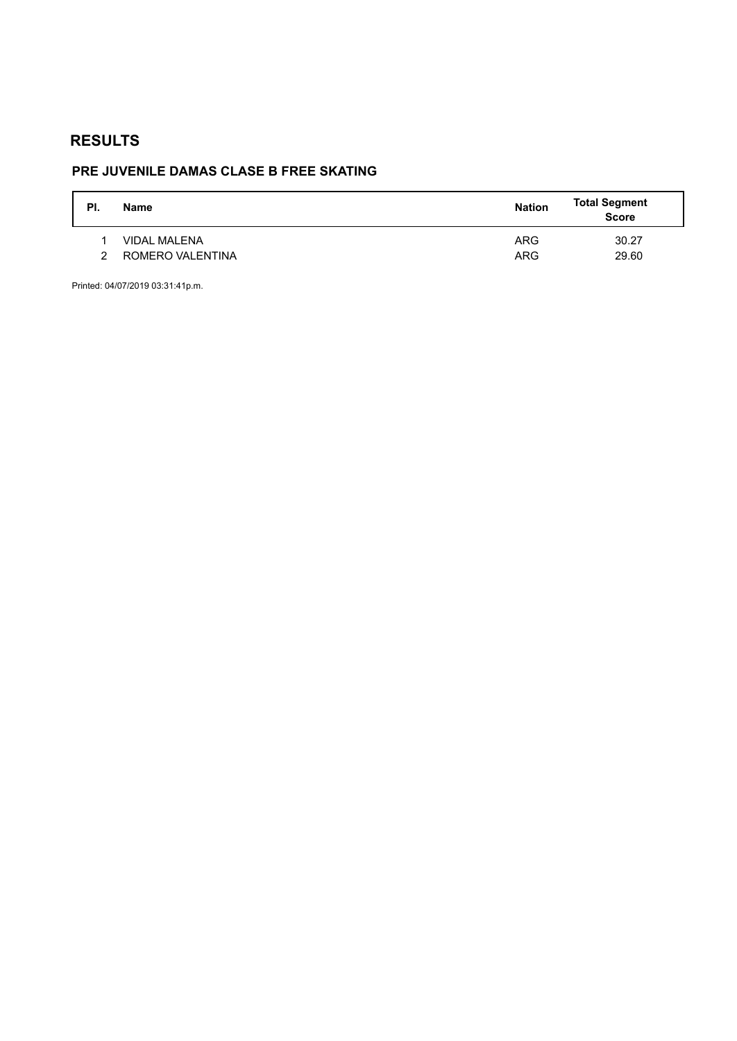# **PRE JUVENILE DAMAS CLASE B FREE SKATING**

| PI. | <b>Name</b>         | <b>Nation</b> | <b>Total Segment</b><br>Score |
|-----|---------------------|---------------|-------------------------------|
|     | <b>VIDAL MALENA</b> | <b>ARG</b>    | 30.27                         |
| າ   | ROMERO VALENTINA    | <b>ARG</b>    | 29.60                         |

Printed: 04/07/2019 03:31:41p.m.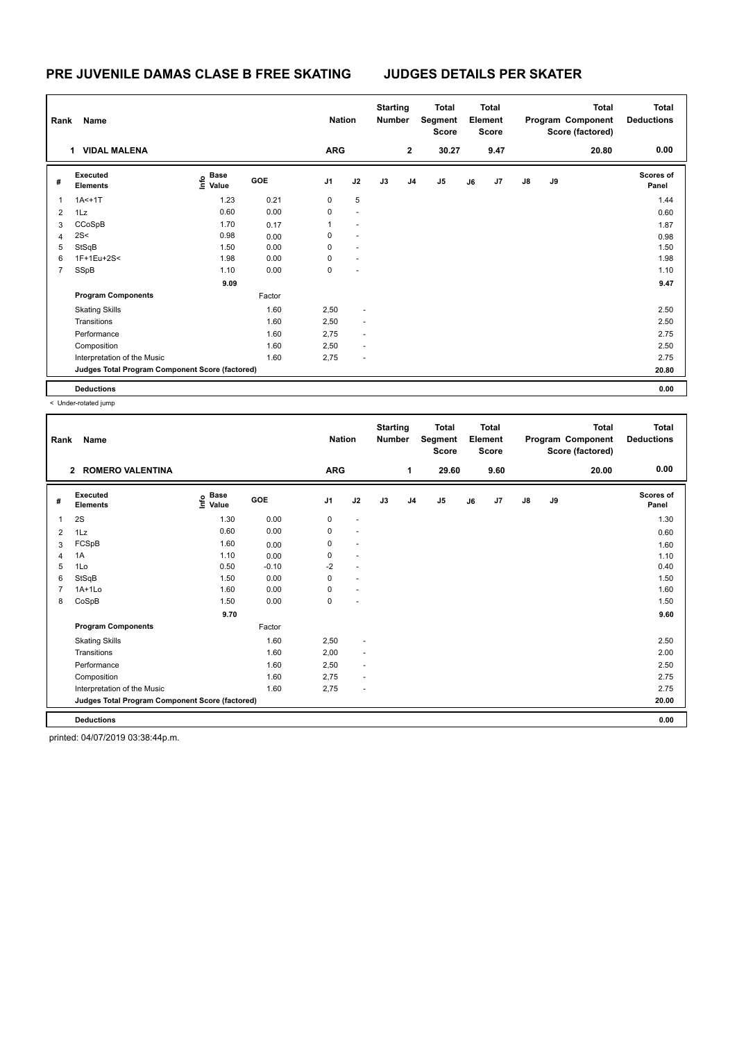## **PRE JUVENILE DAMAS CLASE B FREE SKATING JUDGES DETAILS PER SKATER**

| Rank           | Name                                            |                       |        | <b>Nation</b>  |                          | <b>Starting</b><br>Number |                | <b>Total</b><br>Segment<br><b>Score</b> |    | <b>Total</b><br>Element<br><b>Score</b> |               |    | Total<br>Program Component<br>Score (factored) | <b>Total</b><br><b>Deductions</b> |
|----------------|-------------------------------------------------|-----------------------|--------|----------------|--------------------------|---------------------------|----------------|-----------------------------------------|----|-----------------------------------------|---------------|----|------------------------------------------------|-----------------------------------|
|                | <b>VIDAL MALENA</b><br>1                        |                       |        | <b>ARG</b>     |                          |                           | $\overline{2}$ | 30.27                                   |    | 9.47                                    |               |    | 20.80                                          | 0.00                              |
| #              | Executed<br><b>Elements</b>                     | $\sum_{i=1}^{6}$ Pase | GOE    | J <sub>1</sub> | J2                       | J3                        | J <sub>4</sub> | J5                                      | J6 | J7                                      | $\mathsf{J}8$ | J9 |                                                | <b>Scores of</b><br>Panel         |
| 1              | $1A<+1T$                                        | 1.23                  | 0.21   | 0              | 5                        |                           |                |                                         |    |                                         |               |    |                                                | 1.44                              |
| $\overline{2}$ | 1Lz                                             | 0.60                  | 0.00   | $\mathbf 0$    | $\sim$                   |                           |                |                                         |    |                                         |               |    |                                                | 0.60                              |
| 3              | CCoSpB                                          | 1.70                  | 0.17   | 1              | $\blacksquare$           |                           |                |                                         |    |                                         |               |    |                                                | 1.87                              |
| $\overline{4}$ | 2S<                                             | 0.98                  | 0.00   | 0              | $\overline{\phantom{a}}$ |                           |                |                                         |    |                                         |               |    |                                                | 0.98                              |
| 5              | StSqB                                           | 1.50                  | 0.00   | 0              | $\sim$                   |                           |                |                                         |    |                                         |               |    |                                                | 1.50                              |
| 6              | 1F+1Eu+2S<                                      | 1.98                  | 0.00   | $\mathbf 0$    | $\ddot{\phantom{1}}$     |                           |                |                                         |    |                                         |               |    |                                                | 1.98                              |
| 7              | SSpB                                            | 1.10                  | 0.00   | 0              | $\sim$                   |                           |                |                                         |    |                                         |               |    |                                                | 1.10                              |
|                |                                                 | 9.09                  |        |                |                          |                           |                |                                         |    |                                         |               |    |                                                | 9.47                              |
|                | <b>Program Components</b>                       |                       | Factor |                |                          |                           |                |                                         |    |                                         |               |    |                                                |                                   |
|                | <b>Skating Skills</b>                           |                       | 1.60   | 2,50           | ٠                        |                           |                |                                         |    |                                         |               |    |                                                | 2.50                              |
|                | Transitions                                     |                       | 1.60   | 2,50           | $\overline{\phantom{a}}$ |                           |                |                                         |    |                                         |               |    |                                                | 2.50                              |
|                | Performance                                     |                       | 1.60   | 2,75           | $\overline{\phantom{a}}$ |                           |                |                                         |    |                                         |               |    |                                                | 2.75                              |
|                | Composition                                     |                       | 1.60   | 2,50           | $\overline{\phantom{a}}$ |                           |                |                                         |    |                                         |               |    |                                                | 2.50                              |
|                | Interpretation of the Music                     |                       | 1.60   | 2,75           | ٠                        |                           |                |                                         |    |                                         |               |    |                                                | 2.75                              |
|                | Judges Total Program Component Score (factored) |                       |        |                |                          |                           |                |                                         |    |                                         |               |    |                                                | 20.80                             |
|                | <b>Deductions</b>                               |                       |        |                |                          |                           |                |                                         |    |                                         |               |    |                                                | 0.00                              |

< Under-rotated jump

| Rank           | Name                                            |                                  |            | <b>Nation</b>  |                          | <b>Starting</b><br><b>Number</b> |                | <b>Total</b><br>Segment<br><b>Score</b> |    | <b>Total</b><br>Element<br><b>Score</b> |               |    | <b>Total</b><br>Program Component<br>Score (factored) | <b>Total</b><br><b>Deductions</b> |
|----------------|-------------------------------------------------|----------------------------------|------------|----------------|--------------------------|----------------------------------|----------------|-----------------------------------------|----|-----------------------------------------|---------------|----|-------------------------------------------------------|-----------------------------------|
|                | <b>ROMERO VALENTINA</b><br>$\overline{2}$       |                                  |            | <b>ARG</b>     |                          |                                  | 1              | 29.60                                   |    | 9.60                                    |               |    | 20.00                                                 | 0.00                              |
| #              | Executed<br><b>Elements</b>                     | <b>Base</b><br>e Base<br>E Value | <b>GOE</b> | J <sub>1</sub> | J2                       | J3                               | J <sub>4</sub> | J <sub>5</sub>                          | J6 | J7                                      | $\mathsf{J}8$ | J9 |                                                       | <b>Scores of</b><br>Panel         |
| 1              | 2S                                              | 1.30                             | 0.00       | 0              | $\overline{\phantom{a}}$ |                                  |                |                                         |    |                                         |               |    |                                                       | 1.30                              |
| $\overline{2}$ | 1Lz                                             | 0.60                             | 0.00       | 0              | $\blacksquare$           |                                  |                |                                         |    |                                         |               |    |                                                       | 0.60                              |
| 3              | FCSpB                                           | 1.60                             | 0.00       | 0              | $\overline{a}$           |                                  |                |                                         |    |                                         |               |    |                                                       | 1.60                              |
| $\overline{4}$ | 1A                                              | 1.10                             | 0.00       | 0              | $\blacksquare$           |                                  |                |                                         |    |                                         |               |    |                                                       | 1.10                              |
| 5              | 1Lo                                             | 0.50                             | $-0.10$    | $-2$           | $\blacksquare$           |                                  |                |                                         |    |                                         |               |    |                                                       | 0.40                              |
| 6              | StSqB                                           | 1.50                             | 0.00       | 0              | $\overline{\phantom{a}}$ |                                  |                |                                         |    |                                         |               |    |                                                       | 1.50                              |
| $\overline{7}$ | $1A+1L0$                                        | 1.60                             | 0.00       | 0              | $\blacksquare$           |                                  |                |                                         |    |                                         |               |    |                                                       | 1.60                              |
| 8              | CoSpB                                           | 1.50                             | 0.00       | 0              | $\sim$                   |                                  |                |                                         |    |                                         |               |    |                                                       | 1.50                              |
|                |                                                 | 9.70                             |            |                |                          |                                  |                |                                         |    |                                         |               |    |                                                       | 9.60                              |
|                | <b>Program Components</b>                       |                                  | Factor     |                |                          |                                  |                |                                         |    |                                         |               |    |                                                       |                                   |
|                | <b>Skating Skills</b>                           |                                  | 1.60       | 2,50           | ٠                        |                                  |                |                                         |    |                                         |               |    |                                                       | 2.50                              |
|                | Transitions                                     |                                  | 1.60       | 2,00           | $\sim$                   |                                  |                |                                         |    |                                         |               |    |                                                       | 2.00                              |
|                | Performance                                     |                                  | 1.60       | 2,50           | $\blacksquare$           |                                  |                |                                         |    |                                         |               |    |                                                       | 2.50                              |
|                | Composition                                     |                                  | 1.60       | 2.75           | $\sim$                   |                                  |                |                                         |    |                                         |               |    |                                                       | 2.75                              |
|                | Interpretation of the Music                     |                                  | 1.60       | 2,75           | ÷,                       |                                  |                |                                         |    |                                         |               |    |                                                       | 2.75                              |
|                | Judges Total Program Component Score (factored) |                                  |            |                |                          |                                  |                |                                         |    |                                         |               |    |                                                       | 20.00                             |
|                | <b>Deductions</b>                               |                                  |            |                |                          |                                  |                |                                         |    |                                         |               |    |                                                       | 0.00                              |

printed: 04/07/2019 03:38:44p.m.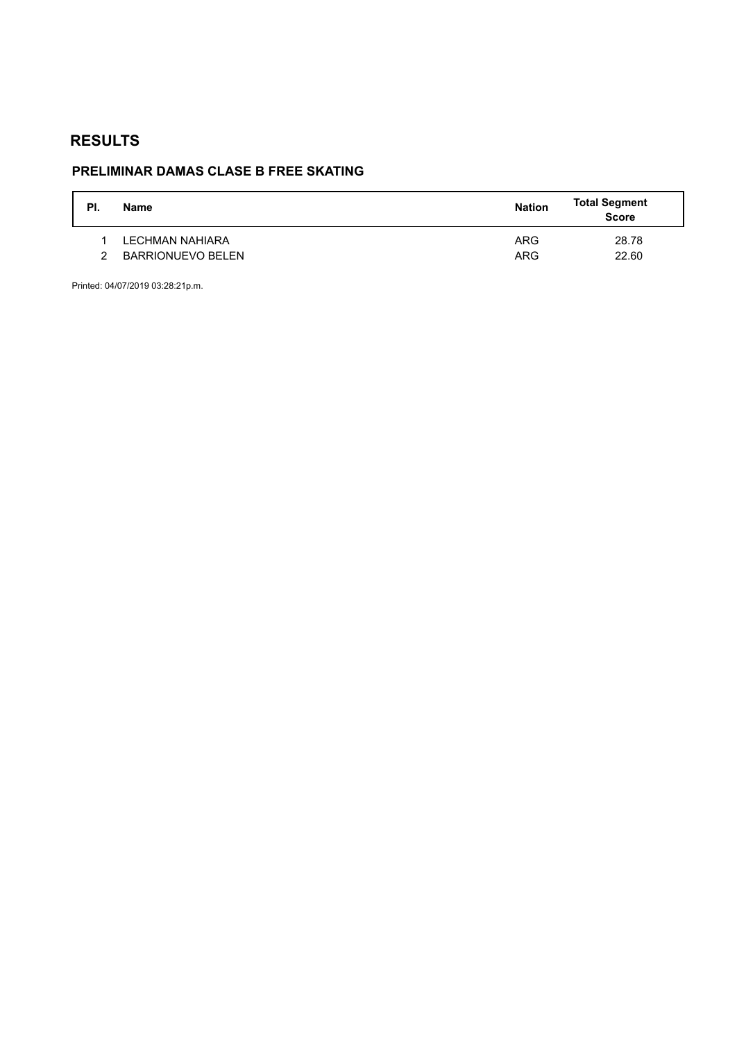# **PRELIMINAR DAMAS CLASE B FREE SKATING**

| PI. | Name                     | <b>Nation</b> | <b>Total Segment</b><br><b>Score</b> |
|-----|--------------------------|---------------|--------------------------------------|
|     | LECHMAN NAHIARA          | <b>ARG</b>    | 28.78                                |
|     | <b>BARRIONUEVO BELEN</b> | <b>ARG</b>    | 22.60                                |

Printed: 04/07/2019 03:28:21p.m.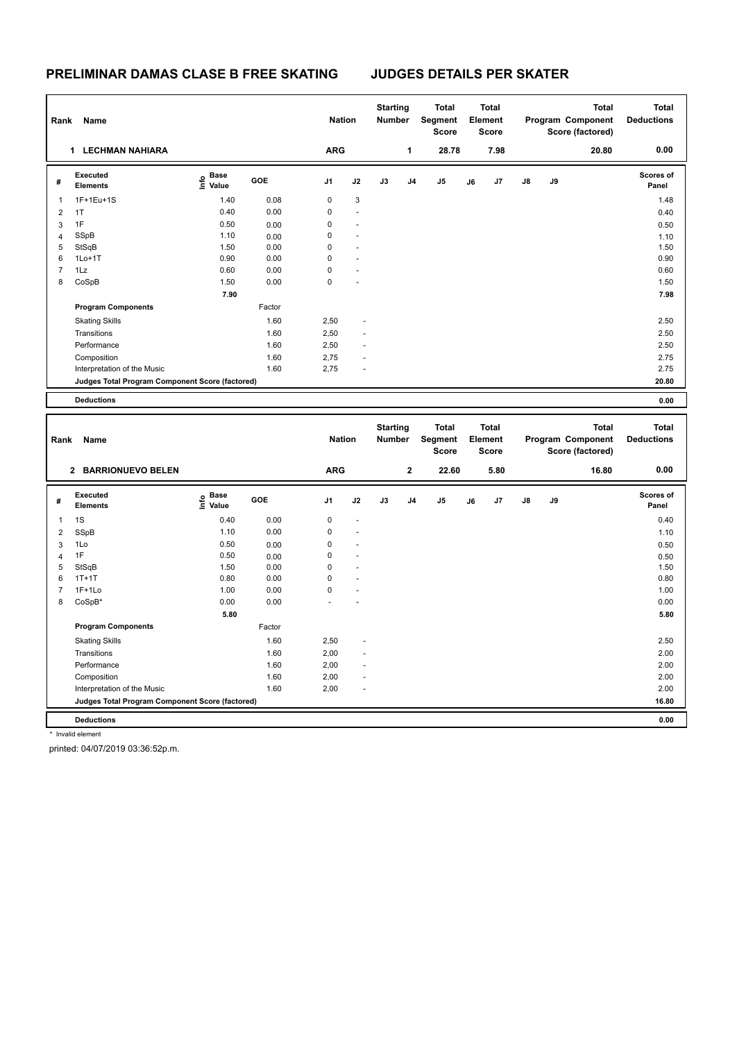## **PRELIMINAR DAMAS CLASE B FREE SKATING JUDGES DETAILS PER SKATER**

| Rank                    | Name                                            |                                       |        | <b>Nation</b>  |    | <b>Starting</b><br><b>Number</b> |              | Total<br>Segment<br><b>Score</b>        |    | <b>Total</b><br>Element<br><b>Score</b> |    |    | <b>Total</b><br>Program Component<br>Score (factored) | <b>Total</b><br><b>Deductions</b> |
|-------------------------|-------------------------------------------------|---------------------------------------|--------|----------------|----|----------------------------------|--------------|-----------------------------------------|----|-----------------------------------------|----|----|-------------------------------------------------------|-----------------------------------|
|                         | 1 LECHMAN NAHIARA                               |                                       |        | <b>ARG</b>     |    |                                  | $\mathbf{1}$ | 28.78                                   |    | 7.98                                    |    |    | 20.80                                                 | 0.00                              |
| #                       | Executed<br><b>Elements</b>                     | $\overset{\circ}{\text{\sf E}}$ Value | GOE    | J <sub>1</sub> | J2 | J3                               | J4           | J <sub>5</sub>                          | J6 | J <sub>7</sub>                          | J8 | J9 |                                                       | <b>Scores of</b><br>Panel         |
| 1                       | 1F+1Eu+1S                                       | 1.40                                  | 0.08   | $\mathbf 0$    | 3  |                                  |              |                                         |    |                                         |    |    |                                                       | 1.48                              |
| $\overline{2}$          | 1T                                              | 0.40                                  | 0.00   | $\mathbf 0$    |    |                                  |              |                                         |    |                                         |    |    |                                                       | 0.40                              |
| 3                       | 1F                                              | 0.50                                  | 0.00   | $\mathbf 0$    |    |                                  |              |                                         |    |                                         |    |    |                                                       | 0.50                              |
| $\overline{4}$          | SSpB                                            | 1.10                                  | 0.00   | $\mathbf 0$    |    |                                  |              |                                         |    |                                         |    |    |                                                       | 1.10                              |
| 5                       | StSqB                                           | 1.50                                  | 0.00   | $\mathbf 0$    |    |                                  |              |                                         |    |                                         |    |    |                                                       | 1.50                              |
| 6                       | $1Lo+1T$                                        | 0.90                                  | 0.00   | $\mathbf 0$    |    |                                  |              |                                         |    |                                         |    |    |                                                       | 0.90                              |
| $\overline{7}$          | 1Lz                                             | 0.60                                  | 0.00   | $\mathbf 0$    |    |                                  |              |                                         |    |                                         |    |    |                                                       | 0.60                              |
| 8                       | CoSpB                                           | 1.50                                  | 0.00   | $\mathbf 0$    |    |                                  |              |                                         |    |                                         |    |    |                                                       | 1.50                              |
|                         |                                                 | 7.90                                  |        |                |    |                                  |              |                                         |    |                                         |    |    |                                                       | 7.98                              |
|                         | <b>Program Components</b>                       |                                       | Factor |                |    |                                  |              |                                         |    |                                         |    |    |                                                       |                                   |
|                         | <b>Skating Skills</b>                           |                                       | 1.60   | 2,50           |    |                                  |              |                                         |    |                                         |    |    |                                                       | 2.50                              |
|                         | Transitions                                     |                                       | 1.60   | 2,50           |    |                                  |              |                                         |    |                                         |    |    |                                                       | 2.50                              |
|                         | Performance                                     |                                       | 1.60   | 2,50           |    |                                  |              |                                         |    |                                         |    |    |                                                       | 2.50                              |
|                         | Composition                                     |                                       | 1.60   | 2,75           |    |                                  |              |                                         |    |                                         |    |    |                                                       | 2.75                              |
|                         | Interpretation of the Music                     |                                       | 1.60   | 2,75           |    |                                  |              |                                         |    |                                         |    |    |                                                       | 2.75                              |
|                         | Judges Total Program Component Score (factored) |                                       |        |                |    |                                  |              |                                         |    |                                         |    |    |                                                       | 20.80                             |
|                         | <b>Deductions</b>                               |                                       |        |                |    |                                  |              |                                         |    |                                         |    |    |                                                       | 0.00                              |
|                         |                                                 |                                       |        |                |    |                                  |              |                                         |    |                                         |    |    |                                                       |                                   |
| Rank                    | Name                                            |                                       |        | <b>Nation</b>  |    | <b>Starting</b><br><b>Number</b> |              | <b>Total</b><br>Segment<br><b>Score</b> |    | <b>Total</b><br>Element<br><b>Score</b> |    |    | <b>Total</b><br>Program Component<br>Score (factored) | <b>Total</b><br><b>Deductions</b> |
|                         | 2 BARRIONUEVO BELEN                             |                                       |        | <b>ARG</b>     |    |                                  | $\mathbf 2$  | 22.60                                   |    | 5.80                                    |    |    | 16.80                                                 | 0.00                              |
| #                       | Executed<br><b>Elements</b>                     | <b>Base</b><br>e Base<br>⊆ Value      | GOE    | J1             | J2 | J3                               | J4           | J5                                      | J6 | J7                                      | J8 | J9 |                                                       | Scores of<br>Panel                |
| 1                       | 1S                                              | 0.40                                  | 0.00   | $\mathbf 0$    |    |                                  |              |                                         |    |                                         |    |    |                                                       | 0.40                              |
| $\overline{\mathbf{c}}$ | SSpB                                            | 1.10                                  | 0.00   | $\mathbf 0$    |    |                                  |              |                                         |    |                                         |    |    |                                                       | 1.10                              |
| 3                       | 1Lo                                             | 0.50                                  | 0.00   | $\mathbf 0$    |    |                                  |              |                                         |    |                                         |    |    |                                                       | 0.50                              |
| $\overline{4}$          | 1F                                              | 0.50                                  | 0.00   | $\mathbf 0$    |    |                                  |              |                                         |    |                                         |    |    |                                                       | 0.50                              |
| 5                       | StSqB                                           | 1.50                                  | 0.00   | $\mathbf 0$    |    |                                  |              |                                         |    |                                         |    |    |                                                       | 1.50                              |
| 6                       | $1T+1T$                                         | 0.80                                  | 0.00   | $\mathbf 0$    |    |                                  |              |                                         |    |                                         |    |    |                                                       | 0.80                              |
| $\overline{7}$          | $1F+1Lo$                                        | 1.00                                  | 0.00   | $\mathbf 0$    |    |                                  |              |                                         |    |                                         |    |    |                                                       | 1.00                              |
| 8                       | CoSpB*                                          | 0.00                                  | 0.00   |                |    |                                  |              |                                         |    |                                         |    |    |                                                       | 0.00                              |
|                         |                                                 | 5.80                                  |        |                |    |                                  |              |                                         |    |                                         |    |    |                                                       | 5.80                              |
|                         | <b>Program Components</b>                       |                                       | Factor |                |    |                                  |              |                                         |    |                                         |    |    |                                                       |                                   |
|                         | <b>Skating Skills</b>                           |                                       | 1.60   | 2,50           |    |                                  |              |                                         |    |                                         |    |    |                                                       | 2.50                              |
|                         | Transitions                                     |                                       | 1.60   | 2,00           |    |                                  |              |                                         |    |                                         |    |    |                                                       | 2.00                              |
|                         | Performance                                     |                                       | 1.60   | 2,00           |    |                                  |              |                                         |    |                                         |    |    |                                                       | 2.00                              |
|                         | Composition                                     |                                       | 1.60   | 2,00           | ÷, |                                  |              |                                         |    |                                         |    |    |                                                       | 2.00                              |
|                         | Interpretation of the Music                     |                                       | 1.60   | 2,00           | L, |                                  |              |                                         |    |                                         |    |    |                                                       | 2.00                              |
|                         | Judges Total Program Component Score (factored) |                                       |        |                |    |                                  |              |                                         |    |                                         |    |    |                                                       | 16.80                             |
|                         |                                                 |                                       |        |                |    |                                  |              |                                         |    |                                         |    |    |                                                       |                                   |

**Deductions 0.00**

\* Invalid element

printed: 04/07/2019 03:36:52p.m.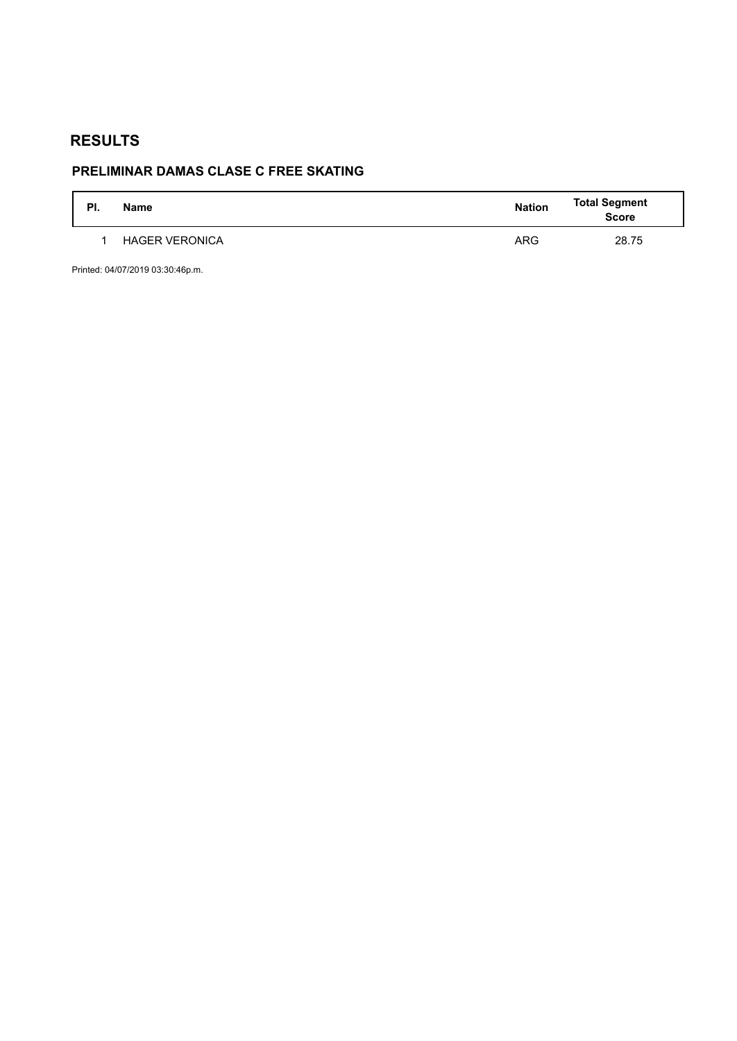# **PRELIMINAR DAMAS CLASE C FREE SKATING**

| PI. | <b>Name</b>           | <b>Nation</b> | Total Segment<br>Score |
|-----|-----------------------|---------------|------------------------|
|     | <b>HAGER VERONICA</b> | <b>ARG</b>    | 28.75                  |

Printed: 04/07/2019 03:30:46p.m.